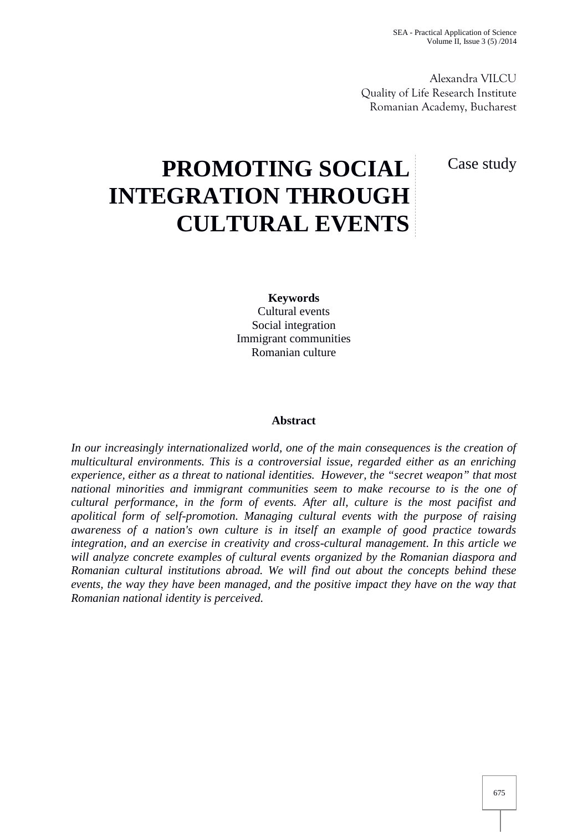Alexandra VILCU Quality of Life Research Institute Romanian Academy, Bucharest

Case study

# **PROMOTING SOCIAL INTEGRATION THROUGH CULTURAL EVENTS**

**Keywords** Cultural events Social integration Immigrant communities Romanian culture

## **Abstract**

*In our increasingly internationalized world, one of the main consequences is the creation of multicultural environments. This is a controversial issue, regarded either as an enriching experience, either as a threat to national identities. However, the "secret weapon" that most national minorities and immigrant communities seem to make recourse to is the one of cultural performance, in the form of events. After all, culture is the most pacifist and apolitical form of self-promotion. Managing cultural events with the purpose of raising awareness of a nation's own culture is in itself an example of good practice towards integration, and an exercise in creativity and cross-cultural management. In this article we will analyze concrete examples of cultural events organized by the Romanian diaspora and Romanian cultural institutions abroad. We will find out about the concepts behind these events, the way they have been managed, and the positive impact they have on the way that Romanian national identity is perceived.*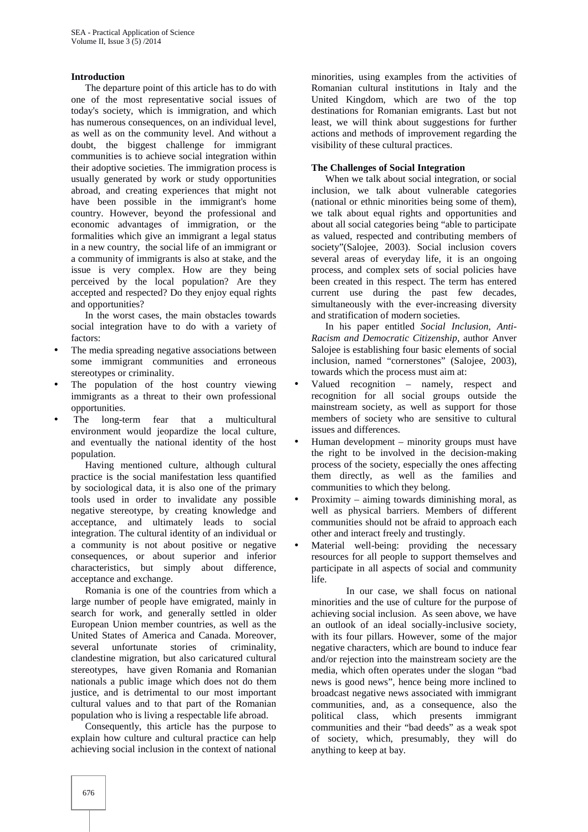#### **Introduction**

The departure point of this article has to do with one of the most representative social issues of today's society, which is immigration, and which has numerous consequences, on an individual level, as well as on the community level. And without a doubt, the biggest challenge for immigrant communities is to achieve social integration within their adoptive societies. The immigration process is usually generated by work or study opportunities abroad, and creating experiences that might not have been possible in the immigrant's home country. However, beyond the professional and economic advantages of immigration, or the formalities which give an immigrant a legal status in a new country, the social life of an immigrant or a community of immigrants is also at stake, and the issue is very complex. How are they being perceived by the local population? Are they accepted and respected? Do they enjoy equal rights and opportunities?

In the worst cases, the main obstacles towards social integration have to do with a variety of factors:

- The media spreading negative associations between some immigrant communities and erroneous stereotypes or criminality.
- The population of the host country viewing  $\bullet$ immigrants as a threat to their own professional opportunities.
- The long-term fear that a multicultural environment would jeopardize the local culture, and eventually the national identity of the host population.

Having mentioned culture, although cultural practice is the social manifestation less quantified by sociological data, it is also one of the primary tools used in order to invalidate any possible negative stereotype, by creating knowledge and acceptance, and ultimately leads to social integration. The cultural identity of an individual or a community is not about positive or negative consequences, or about superior and inferior characteristics, but simply about difference, acceptance and exchange.

Romania is one of the countries from which a large number of people have emigrated, mainly in search for work, and generally settled in older European Union member countries, as well as the United States of America and Canada. Moreover, several unfortunate stories of criminality, clandestine migration, but also caricatured cultural stereotypes, have given Romania and Romanian nationals a public image which does not do them justice, and is detrimental to our most important cultural values and to that part of the Romanian population who is living a respectable life abroad.

Consequently, this article has the purpose to explain how culture and cultural practice can help achieving social inclusion in the context of national

minorities, using examples from the activities of Romanian cultural institutions in Italy and the United Kingdom, which are two of the top destinations for Romanian emigrants. Last but not least, we will think about suggestions for further actions and methods of improvement regarding the visibility of these cultural practices.

## **The Challenges of Social Integration**

When we talk about social integration, or social inclusion, we talk about vulnerable categories (national or ethnic minorities being some of them), we talk about equal rights and opportunities and about all social categories being "able to participate as valued, respected and contributing members of society"(Salojee, 2003). Social inclusion covers several areas of everyday life, it is an ongoing process, and complex sets of social policies have been created in this respect. The term has entered current use during the past few decades, simultaneously with the ever-increasing diversity and stratification of modern societies.

In his paper entitled *Social Inclusion, Anti- Racism and Democratic Citizenship*, author Anver Salojee is establishing four basic elements of social inclusion, named "cornerstones" (Salojee, 2003), towards which the process must aim at:

- Valued recognition namely, respect and recognition for all social groups outside the mainstream society, as well as support for those members of society who are sensitive to cultural issues and differences.
- Human development minority groups must have the right to be involved in the decision-making process of the society, especially the ones affecting them directly, as well as the families and communities to which they belong.
- Proximity aiming towards diminishing moral, as well as physical barriers. Members of different communities should not be afraid to approach each other and interact freely and trustingly.
- Material well-being: providing the necessary resources for all people to support themselves and participate in all aspects of social and community life.

In our case, we shall focus on national minorities and the use of culture for the purpose of achieving social inclusion. As seen above, we have an outlook of an ideal socially-inclusive society, with its four pillars. However, some of the major negative characters, which are bound to induce fear and/or rejection into the mainstream society are the media, which often operates under the slogan "bad news is good news", hence being more inclined to broadcast negative news associated with immigrant communities, and, as a consequence, also the political class, which presents immigrant communities and their "bad deeds" as a weak spot of society, which, presumably, they will do anything to keep at bay.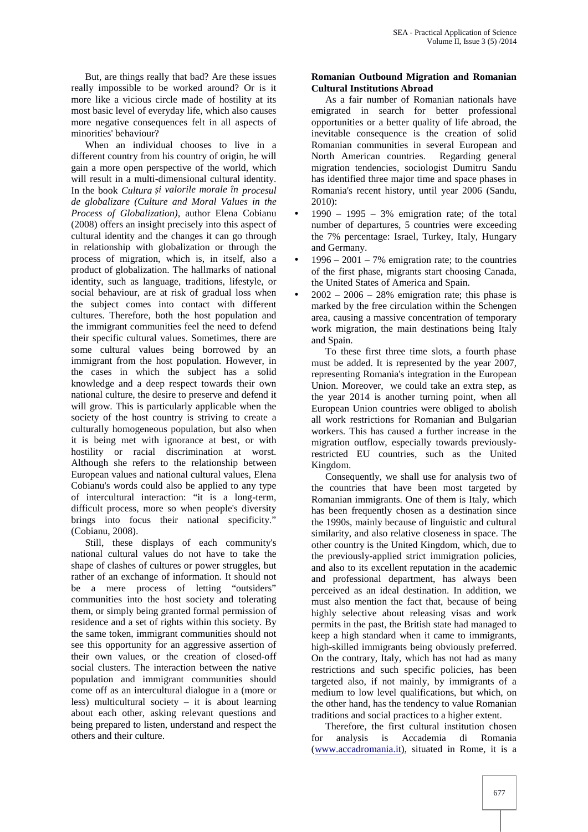But, are things really that bad? Are these issues really impossible to be worked around? Or is it more like a vicious circle made of hostility at its most basic level of everyday life, which also causes more negative consequences felt in all aspects of minorities' behaviour?

When an individual chooses to live in a different country from his country of origin, he will gain a more open perspective of the world, which will result in a multi-dimensional cultural identity. In the book *Cultura și valorile morale în procesul de globalizare (Culture and Moral Values in the Process of Globalization),* author Elena Cobianu (2008) offers an insight precisely into this aspect of cultural identity and the changes it can go through in relationship with globalization or through the process of migration, which is, in itself, also a product of globalization. The hallmarks of national identity, such as language, traditions, lifestyle, or social behaviour, are at risk of gradual loss when  $\bullet$ the subject comes into contact with different cultures. Therefore, both the host population and the immigrant communities feel the need to defend their specific cultural values. Sometimes, there are some cultural values being borrowed by an immigrant from the host population. However, in the cases in which the subject has a solid knowledge and a deep respect towards their own national culture, the desire to preserve and defend it will grow. This is particularly applicable when the society of the host country is striving to create a culturally homogeneous population, but also when it is being met with ignorance at best, or with hostility or racial discrimination at worst. Although she refers to the relationship between European values and national cultural values, Elena Cobianu's words could also be applied to any type of intercultural interaction: "it is a long-term, difficult process, more so when people's diversity brings into focus their national specificity.' (Cobianu, 2008).

Still, these displays of each community's national cultural values do not have to take the shape of clashes of cultures or power struggles, but rather of an exchange of information. It should not be a mere process of letting "outsiders" communities into the host society and tolerating them, or simply being granted formal permission of residence and a set of rights within this society. By the same token, immigrant communities should not see this opportunity for an aggressive assertion of their own values, or the creation of closed-off social clusters. The interaction between the native population and immigrant communities should come off as an intercultural dialogue in a (more or less) multicultural society – it is about learning about each other, asking relevant questions and being prepared to listen, understand and respect the others and their culture.

# **Romanian Outbound Migration and Romanian Cultural Institutions Abroad**

As a fair number of Romanian nationals have emigrated in search for better professional opportunities or a better quality of life abroad, the inevitable consequence is the creation of solid Romanian communities in several European and<br>North American countries. Regarding general North American countries. migration tendencies, sociologist Dumitru Sandu has identified three major time and space phases in Romania's recent history, until year 2006 (Sandu, 2010):

- $1990 1995 3\%$  emigration rate; of the total number of departures, 5 countries were exceeding the 7% percentage: Israel, Turkey, Italy, Hungary and Germany.
- $1996 2001 7%$  emigration rate; to the countries of the first phase, migrants start choosing Canada, the United States of America and Spain.
- $2002 2006 28%$  emigration rate; this phase is marked by the free circulation within the Schengen area, causing a massive concentration of temporary work migration, the main destinations being Italy and Spain.

To these first three time slots, a fourth phase must be added. It is represented by the year 2007, representing Romania's integration in the European Union. Moreover, we could take an extra step, as the year 2014 is another turning point, when all European Union countries were obliged to abolish all work restrictions for Romanian and Bulgarian workers. This has caused a further increase in the migration outflow, especially towards previouslyrestricted EU countries, such as the United Kingdom.

Consequently, we shall use for analysis two of the countries that have been most targeted by Romanian immigrants. One of them is Italy, which has been frequently chosen as a destination since the 1990s, mainly because of linguistic and cultural similarity, and also relative closeness in space. The other country is the United Kingdom, which, due to the previously-applied strict immigration policies, and also to its excellent reputation in the academic and professional department, has always been perceived as an ideal destination. In addition, we must also mention the fact that, because of being highly selective about releasing visas and work permits in the past, the British state had managed to keep a high standard when it came to immigrants, high-skilled immigrants being obviously preferred. On the contrary, Italy, which has not had as many restrictions and such specific policies, has been targeted also, if not mainly, by immigrants of a medium to low level qualifications, but which, on the other hand, has the tendency to value Romanian traditions and social practices to a higher extent.

Therefore, the first cultural institution chosen for analysis is Accademia di Romania (www.accadromania.it), situated in Rome, it is a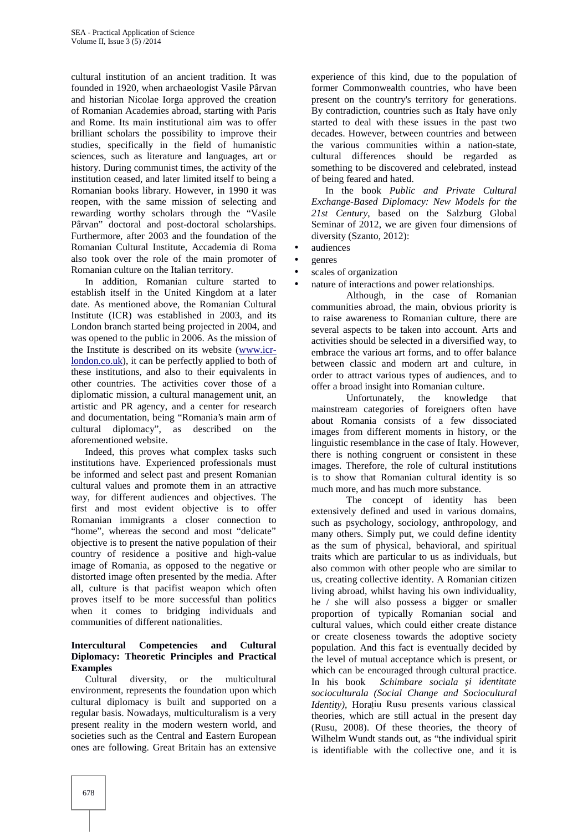cultural institution of an ancient tradition. It was founded in 1920, when archaeologist Vasile Pârvan and historian Nicolae Iorga approved the creation of Romanian Academies abroad, starting with Paris and Rome. Its main institutional aim was to offer brilliant scholars the possibility to improve their studies, specifically in the field of humanistic sciences, such as literature and languages, art or history. During communist times, the activity of the institution ceased, and later limited itself to being a Romanian books library. However, in 1990 it was reopen, with the same mission of selecting and rewarding worthy scholars through the "Vasile Pârvan" doctoral and post-doctoral scholarships. Furthermore, after 2003 and the foundation of the Romanian Cultural Institute, Accademia di Roma also took over the role of the main promoter of Romanian culture on the Italian territory.

In addition, Romanian culture started to establish itself in the United Kingdom at a later date. As mentioned above, the Romanian Cultural Institute (ICR) was established in 2003, and its London branch started being projected in 2004, and was opened to the public in 2006. As the mission of the Institute is described on its website (www.icrlondon.co.uk), it can be perfectly applied to both of these institutions, and also to their equivalents in other countries. The activities cover those of a diplomatic mission, a cultural management unit, an artistic and PR agency, and a center for research and documentation, being "Romania's main arm of cultural diplomacy", as described on the aforementioned website.

Indeed, this proves what complex tasks such institutions have. Experienced professionals must be informed and select past and present Romanian cultural values and promote them in an attractive way, for different audiences and objectives. The first and most evident objective is to offer Romanian immigrants a closer connection to "home", whereas the second and most "delicate" objective is to present the native population of their country of residence a positive and high-value image of Romania, as opposed to the negative or distorted image often presented by the media. After all, culture is that pacifist weapon which often proves itself to be more successful than politics when it comes to bridging individuals and communities of different nationalities.

# **Intercultural Competencies and Cultural Diplomacy: Theoretic Principles and Practical Examples**

Cultural diversity, or the multicultural environment, represents the foundation upon which cultural diplomacy is built and supported on a regular basis. Nowadays, multiculturalism is a very present reality in the modern western world, and societies such as the Central and Eastern European ones are following. Great Britain has an extensive

experience of this kind, due to the population of former Commonwealth countries, who have been present on the country's territory for generations. By contradiction, countries such as Italy have only started to deal with these issues in the past two decades. However, between countries and between the various communities within a nation-state, cultural differences should be regarded as something to be discovered and celebrated, instead of being feared and hated.

In the book *Public and Private Cultural Exchange-Based Diplomacy: New Models for the 21st Century*, based on the Salzburg Global Seminar of 2012, we are given four dimensions of diversity (Szanto, 2012):

- audiences
- genres
- scales of organization
- nature of interactions and power relationships.

Although, in the case of Romanian communities abroad, the main, obvious priority is to raise awareness to Romanian culture, there are several aspects to be taken into account. Arts and activities should be selected in a diversified way, to embrace the various art forms, and to offer balance between classic and modern art and culture, in order to attract various types of audiences, and to offer a broad insight into Romanian culture.

Unfortunately, the knowledge that mainstream categories of foreigners often have about Romania consists of a few dissociated images from different moments in history, or the linguistic resemblance in the case of Italy. However, there is nothing congruent or consistent in these images. Therefore, the role of cultural institutions is to show that Romanian cultural identity is so much more, and has much more substance.

The concept of identity has been extensively defined and used in various domains, such as psychology, sociology, anthropology, and many others. Simply put, we could define identity as the sum of physical, behavioral, and spiritual traits which are particular to us as individuals, but also common with other people who are similar to us, creating collective identity. A Romanian citizen living abroad, whilst having his own individuality, he / she will also possess a bigger or smaller proportion of typically Romanian social and cultural values, which could either create distance or create closeness towards the adoptive society population. And this fact is eventually decided by the level of mutual acceptance which is present, or which can be encouraged through cultural practice. In his book *Schimbare sociala și identitate socioculturala (Social Change and Sociocultural Identity),* Horațiu Rusu presents various classical theories, which are still actual in the present day (Rusu, 2008). Of these theories, the theory of Wilhelm Wundt stands out, as "the individual spirit is identifiable with the collective one, and it is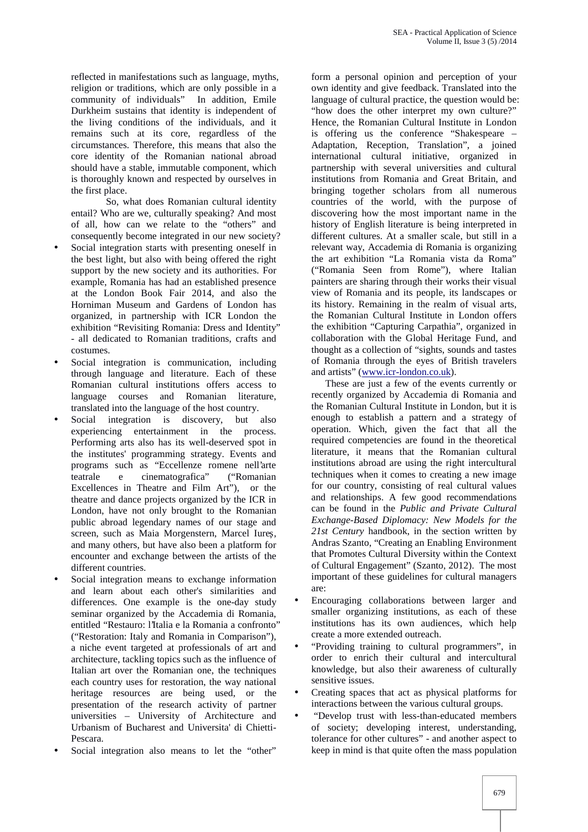reflected in manifestations such as language, myths, religion or traditions, which are only possible in a community of individuals" In addition, Emile Durkheim sustains that identity is independent of the living conditions of the individuals, and it remains such at its core, regardless of the circumstances. Therefore, this means that also the core identity of the Romanian national abroad should have a stable, immutable component, which is thoroughly known and respected by ourselves in the first place.

So, what does Romanian cultural identity entail? Who are we, culturally speaking? And most of all, how can we relate to the "others" and consequently become integrated in our new society?

- Social integration starts with presenting oneself in the best light, but also with being offered the right support by the new society and its authorities. For example, Romania has had an established presence at the London Book Fair 2014, and also the Horniman Museum and Gardens of London has organized, in partnership with ICR London the exhibition "Revisiting Romania: Dress and Identity" - all dedicated to Romanian traditions, crafts and costumes.
- Social integration is communication, including through language and literature. Each of these Romanian cultural institutions offers access to language courses and Romanian literature, translated into the language of the host country.
- Social integration is discovery, but also experiencing entertainment in the process. Performing arts also has its well-deserved spot in the institutes' programming strategy. Events and programs such as "Eccellenze romene nell'arte teatrale e cinematografica" ("Romanian Excellences in Theatre and Film Art"), or the theatre and dance projects organized by the ICR in London, have not only brought to the Romanian public abroad legendary names of our stage and screen, such as Maia Morgenstern, Marcel Iure , and many others, but have also been a platform for encounter and exchange between the artists of the different countries.
- Social integration means to exchange information and learn about each other's similarities and differences. One example is the one-day study seminar organized by the Accademia di Romania, entitled "Restauro: l'Italia e la Romania a confronto" ("Restoration: Italy and Romania in Comparison"), a niche event targeted at professionals of art and architecture, tackling topics such as the influence of Italian art over the Romanian one, the techniques each country uses for restoration, the way national heritage resources are being used, or the presentation of the research activity of partner universities – University of Architecture and Urbanism of Bucharest and Universita' di Chietti- Pescara.
- Social integration also means to let the "other"

form a personal opinion and perception of your own identity and give feedback. Translated into the language of cultural practice, the question would be: "how does the other interpret my own culture?" Hence, the Romanian Cultural Institute in London is offering us the conference "Shakespeare – Adaptation, Reception, Translation", a joined international cultural initiative, organized in partnership with several universities and cultural institutions from Romania and Great Britain, and bringing together scholars from all numerous countries of the world, with the purpose of discovering how the most important name in the history of English literature is being interpreted in different cultures. At a smaller scale, but still in a relevant way, Accademia di Romania is organizing the art exhibition "La Romania vista da Roma" ("Romania Seen from Rome"), where Italian painters are sharing through their works their visual view of Romania and its people, its landscapes or its history. Remaining in the realm of visual arts, the Romanian Cultural Institute in London offers the exhibition "Capturing Carpathia", organized in collaboration with the Global Heritage Fund, and thought as a collection of "sights, sounds and tastes of Romania through the eyes of British travelers and artists" (www.icr-london.co.uk).

These are just a few of the events currently or recently organized by Accademia di Romania and the Romanian Cultural Institute in London, but it is enough to establish a pattern and a strategy of operation. Which, given the fact that all the required competencies are found in the theoretical literature, it means that the Romanian cultural institutions abroad are using the right intercultural techniques when it comes to creating a new image for our country, consisting of real cultural values and relationships. A few good recommendations can be found in the *Public and Private Cultural Exchange-Based Diplomacy: New Models for the 21st Century* handbook, in the section written by Andras Szanto, "Creating an Enabling Environment that Promotes Cultural Diversity within the Context of Cultural Engagement" (Szanto, 2012). The most important of these guidelines for cultural managers are:

- Encouraging collaborations between larger and smaller organizing institutions, as each of these institutions has its own audiences, which help create a more extended outreach.
- "Providing training to cultural programmers", in order to enrich their cultural and intercultural knowledge, but also their awareness of culturally sensitive issues.
- Creating spaces that act as physical platforms for interactions between the various cultural groups.
- "Develop trust with less-than-educated members of society; developing interest, understanding, tolerance for other cultures" - and another aspect to keep in mind is that quite often the mass population